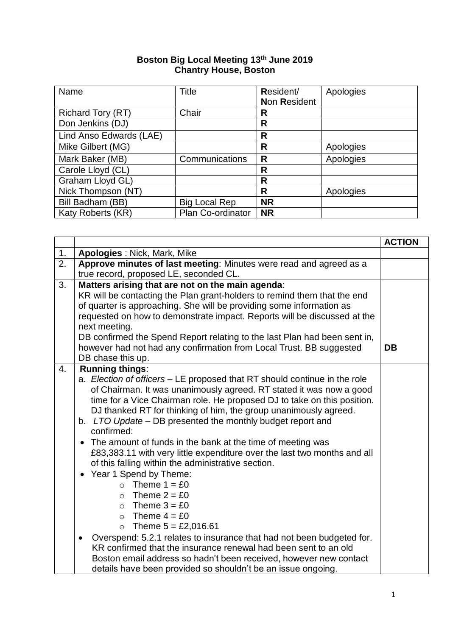## **Boston Big Local Meeting 13 th June 2019 Chantry House, Boston**

| Name                     | <b>Title</b>         | Resident/           | Apologies |
|--------------------------|----------------------|---------------------|-----------|
|                          |                      | <b>Non Resident</b> |           |
| <b>Richard Tory (RT)</b> | Chair                | R                   |           |
| Don Jenkins (DJ)         |                      | R                   |           |
| Lind Anso Edwards (LAE)  |                      | R                   |           |
| Mike Gilbert (MG)        |                      | R                   | Apologies |
| Mark Baker (MB)          | Communications       | R                   | Apologies |
| Carole Lloyd (CL)        |                      | R                   |           |
| Graham Lloyd GL)         |                      | R                   |           |
| Nick Thompson (NT)       |                      | R                   | Apologies |
| Bill Badham (BB)         | <b>Big Local Rep</b> | <b>NR</b>           |           |
| Katy Roberts (KR)        | Plan Co-ordinator    | <b>NR</b>           |           |

|    |                                                                                                                                                  | <b>ACTION</b> |
|----|--------------------------------------------------------------------------------------------------------------------------------------------------|---------------|
| 1. | <b>Apologies: Nick, Mark, Mike</b>                                                                                                               |               |
| 2. | Approve minutes of last meeting: Minutes were read and agreed as a<br>true record, proposed LE, seconded CL.                                     |               |
| 3. | Matters arising that are not on the main agenda:                                                                                                 |               |
|    | KR will be contacting the Plan grant-holders to remind them that the end                                                                         |               |
|    | of quarter is approaching. She will be providing some information as                                                                             |               |
|    | requested on how to demonstrate impact. Reports will be discussed at the                                                                         |               |
|    | next meeting.                                                                                                                                    |               |
|    | DB confirmed the Spend Report relating to the last Plan had been sent in,<br>however had not had any confirmation from Local Trust. BB suggested | DB            |
|    | DB chase this up.                                                                                                                                |               |
| 4. | <b>Running things:</b>                                                                                                                           |               |
|    | a. Election of officers – LE proposed that RT should continue in the role                                                                        |               |
|    | of Chairman. It was unanimously agreed. RT stated it was now a good                                                                              |               |
|    | time for a Vice Chairman role. He proposed DJ to take on this position.                                                                          |               |
|    | DJ thanked RT for thinking of him, the group unanimously agreed.                                                                                 |               |
|    | b. LTO Update - DB presented the monthly budget report and<br>confirmed:                                                                         |               |
|    | The amount of funds in the bank at the time of meeting was                                                                                       |               |
|    | £83,383.11 with very little expenditure over the last two months and all                                                                         |               |
|    | of this falling within the administrative section.                                                                                               |               |
|    | Year 1 Spend by Theme:                                                                                                                           |               |
|    | $\circ$ Theme 1 = £0                                                                                                                             |               |
|    | $\circ$ Theme 2 = £0                                                                                                                             |               |
|    | $\circ$ Theme 3 = £0                                                                                                                             |               |
|    | $\circ$ Theme 4 = £0                                                                                                                             |               |
|    | Theme $5 = £2,016.61$<br>$\circ$<br>Overspend: 5.2.1 relates to insurance that had not been budgeted for.<br>$\bullet$                           |               |
|    | KR confirmed that the insurance renewal had been sent to an old                                                                                  |               |
|    | Boston email address so hadn't been received, however new contact                                                                                |               |
|    | details have been provided so shouldn't be an issue ongoing.                                                                                     |               |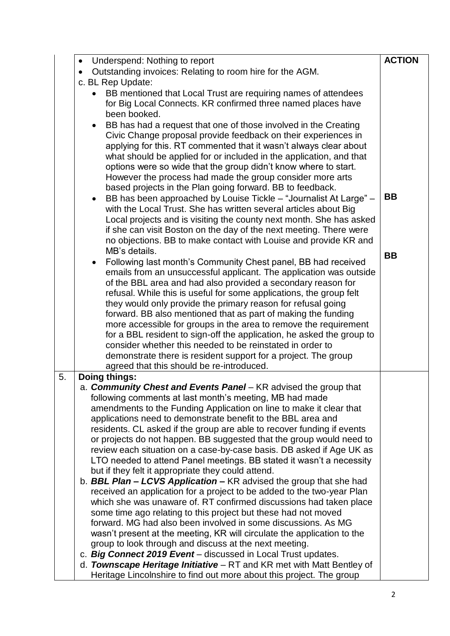|    | Underspend: Nothing to report<br>$\bullet$                                                                                      | <b>ACTION</b> |  |
|----|---------------------------------------------------------------------------------------------------------------------------------|---------------|--|
|    | Outstanding invoices: Relating to room hire for the AGM.                                                                        |               |  |
|    | c. BL Rep Update:                                                                                                               |               |  |
|    | • BB mentioned that Local Trust are requiring names of attendees                                                                |               |  |
|    | for Big Local Connects. KR confirmed three named places have                                                                    |               |  |
|    | been booked.                                                                                                                    |               |  |
|    | BB has had a request that one of those involved in the Creating<br>$\bullet$                                                    |               |  |
|    | Civic Change proposal provide feedback on their experiences in                                                                  |               |  |
|    | applying for this. RT commented that it wasn't always clear about                                                               |               |  |
|    | what should be applied for or included in the application, and that                                                             |               |  |
|    | options were so wide that the group didn't know where to start.                                                                 |               |  |
|    | However the process had made the group consider more arts<br>based projects in the Plan going forward. BB to feedback.          |               |  |
|    | BB has been approached by Louise Tickle - "Journalist At Large" -                                                               | <b>BB</b>     |  |
|    | with the Local Trust. She has written several articles about Big                                                                |               |  |
|    | Local projects and is visiting the county next month. She has asked                                                             |               |  |
|    | if she can visit Boston on the day of the next meeting. There were                                                              |               |  |
|    | no objections. BB to make contact with Louise and provide KR and                                                                |               |  |
|    | MB's details.                                                                                                                   |               |  |
|    | Following last month's Community Chest panel, BB had received                                                                   | <b>BB</b>     |  |
|    | emails from an unsuccessful applicant. The application was outside                                                              |               |  |
|    | of the BBL area and had also provided a secondary reason for                                                                    |               |  |
|    | refusal. While this is useful for some applications, the group felt                                                             |               |  |
|    | they would only provide the primary reason for refusal going                                                                    |               |  |
|    | forward. BB also mentioned that as part of making the funding                                                                   |               |  |
|    | more accessible for groups in the area to remove the requirement                                                                |               |  |
|    | for a BBL resident to sign-off the application, he asked the group to                                                           |               |  |
|    | consider whether this needed to be reinstated in order to                                                                       |               |  |
|    | demonstrate there is resident support for a project. The group<br>agreed that this should be re-introduced.                     |               |  |
| 5. | <b>Doing things:</b>                                                                                                            |               |  |
|    | a. Community Chest and Events Panel - KR advised the group that                                                                 |               |  |
|    | following comments at last month's meeting, MB had made                                                                         |               |  |
|    | amendments to the Funding Application on line to make it clear that                                                             |               |  |
|    | applications need to demonstrate benefit to the BBL area and                                                                    |               |  |
|    | residents. CL asked if the group are able to recover funding if events                                                          |               |  |
|    | or projects do not happen. BB suggested that the group would need to                                                            |               |  |
|    | review each situation on a case-by-case basis. DB asked if Age UK as                                                            |               |  |
|    | LTO needed to attend Panel meetings. BB stated it wasn't a necessity                                                            |               |  |
|    | but if they felt it appropriate they could attend.                                                                              |               |  |
|    | b. <b>BBL Plan – LCVS Application –</b> KR advised the group that she had                                                       |               |  |
|    | received an application for a project to be added to the two-year Plan                                                          |               |  |
|    | which she was unaware of. RT confirmed discussions had taken place                                                              |               |  |
|    | some time ago relating to this project but these had not moved<br>forward. MG had also been involved in some discussions. As MG |               |  |
|    | wasn't present at the meeting, KR will circulate the application to the                                                         |               |  |
|    | group to look through and discuss at the next meeting.                                                                          |               |  |
|    | c. Big Connect 2019 Event - discussed in Local Trust updates.                                                                   |               |  |
|    | d. Townscape Heritage Initiative - RT and KR met with Matt Bentley of                                                           |               |  |
|    | Heritage Lincolnshire to find out more about this project. The group                                                            |               |  |